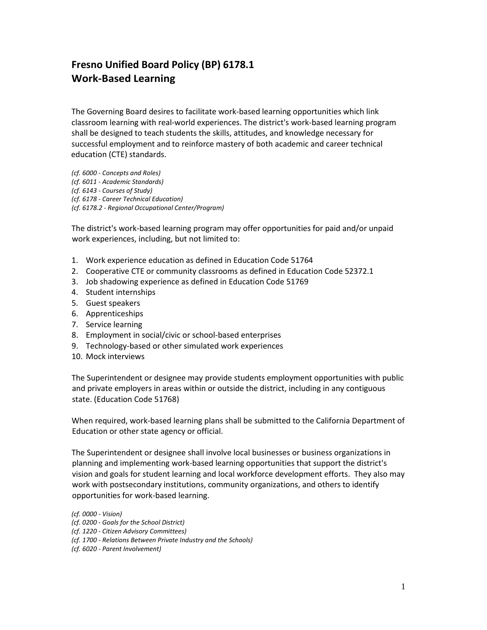# **Fresno Unified Board Policy (BP) 6178.1 Work-Based Learning**

The Governing Board desires to facilitate work-based learning opportunities which link classroom learning with real-world experiences. The district's work-based learning program shall be designed to teach students the skills, attitudes, and knowledge necessary for successful employment and to reinforce mastery of both academic and career technical education (CTE) standards.

*(cf. 6000 - Concepts and Roles) (cf. 6011 - Academic Standards) (cf. 6143 - Courses of Study) (cf. 6178 - Career Technical Education) (cf. 6178.2 - Regional Occupational Center/Program)*

The district's work-based learning program may offer opportunities for paid and/or unpaid work experiences, including, but not limited to:

- 1. Work experience education as defined in Education Code 51764
- 2. Cooperative CTE or community classrooms as defined in Education Code 52372.1
- 3. Job shadowing experience as defined in Education Code 51769
- 4. Student internships
- 5. Guest speakers
- 6. Apprenticeships
- 7. Service learning
- 8. Employment in social/civic or school-based enterprises
- 9. Technology-based or other simulated work experiences
- 10. Mock interviews

The Superintendent or designee may provide students employment opportunities with public and private employers in areas within or outside the district, including in any contiguous state. (Education Code 51768)

When required, work-based learning plans shall be submitted to the California Department of Education or other state agency or official.

The Superintendent or designee shall involve local businesses or business organizations in planning and implementing work-based learning opportunities that support the district's vision and goals for student learning and local workforce development efforts. They also may work with postsecondary institutions, community organizations, and others to identify opportunities for work-based learning.

*(cf. 0000 - Vision)*

- *(cf. 0200 - Goals for the School District)*
- *(cf. 1220 - Citizen Advisory Committees)*

*<sup>(</sup>cf. 1700 - Relations Between Private Industry and the Schools)*

*<sup>(</sup>cf. 6020 - Parent Involvement)*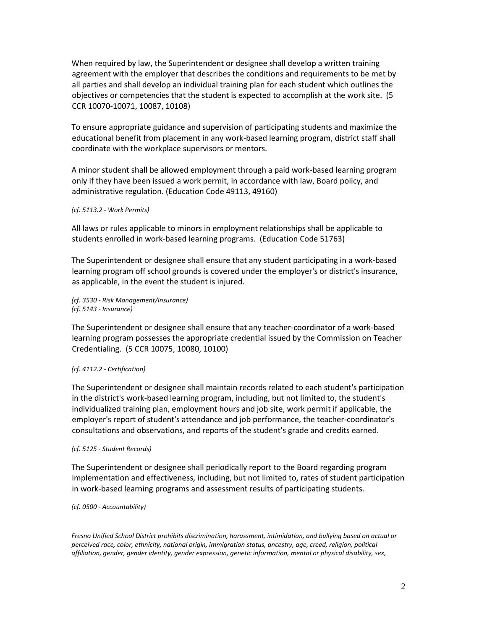When required by law, the Superintendent or designee shall develop a written training agreement with the employer that describes the conditions and requirements to be met by all parties and shall develop an individual training plan for each student which outlines the objectives or competencies that the student is expected to accomplish at the work site. (5 CCR 10070-10071, 10087, 10108)

To ensure appropriate guidance and supervision of participating students and maximize the educational benefit from placement in any work-based learning program, district staff shall coordinate with the workplace supervisors or mentors.

A minor student shall be allowed employment through a paid work-based learning program only if they have been issued a work permit, in accordance with law, Board policy, and administrative regulation. (Education Code 49113, 49160)

## *(cf. 5113.2 - Work Permits)*

All laws or rules applicable to minors in employment relationships shall be applicable to students enrolled in work-based learning programs. (Education Code 51763)

The Superintendent or designee shall ensure that any student participating in a work-based learning program off school grounds is covered under the employer's or district's insurance, as applicable, in the event the student is injured.

*(cf. 3530 - Risk Management/Insurance) (cf. 5143 - Insurance)*

The Superintendent or designee shall ensure that any teacher-coordinator of a work-based learning program possesses the appropriate credential issued by the Commission on Teacher Credentialing. (5 CCR 10075, 10080, 10100)

### *(cf. 4112.2 - Certification)*

The Superintendent or designee shall maintain records related to each student's participation in the district's work-based learning program, including, but not limited to, the student's individualized training plan, employment hours and job site, work permit if applicable, the employer's report of student's attendance and job performance, the teacher-coordinator's consultations and observations, and reports of the student's grade and credits earned.

### *(cf. 5125 - Student Records)*

The Superintendent or designee shall periodically report to the Board regarding program implementation and effectiveness, including, but not limited to, rates of student participation in work-based learning programs and assessment results of participating students.

*(cf. 0500 - Accountability)*

*Fresno Unified School District prohibits discrimination, harassment, intimidation, and bullying based on actual or perceived race, color, ethnicity, national origin, immigration status, ancestry, age, creed, religion, political affiliation, gender, gender identity, gender expression, genetic information, mental or physical disability, sex,*